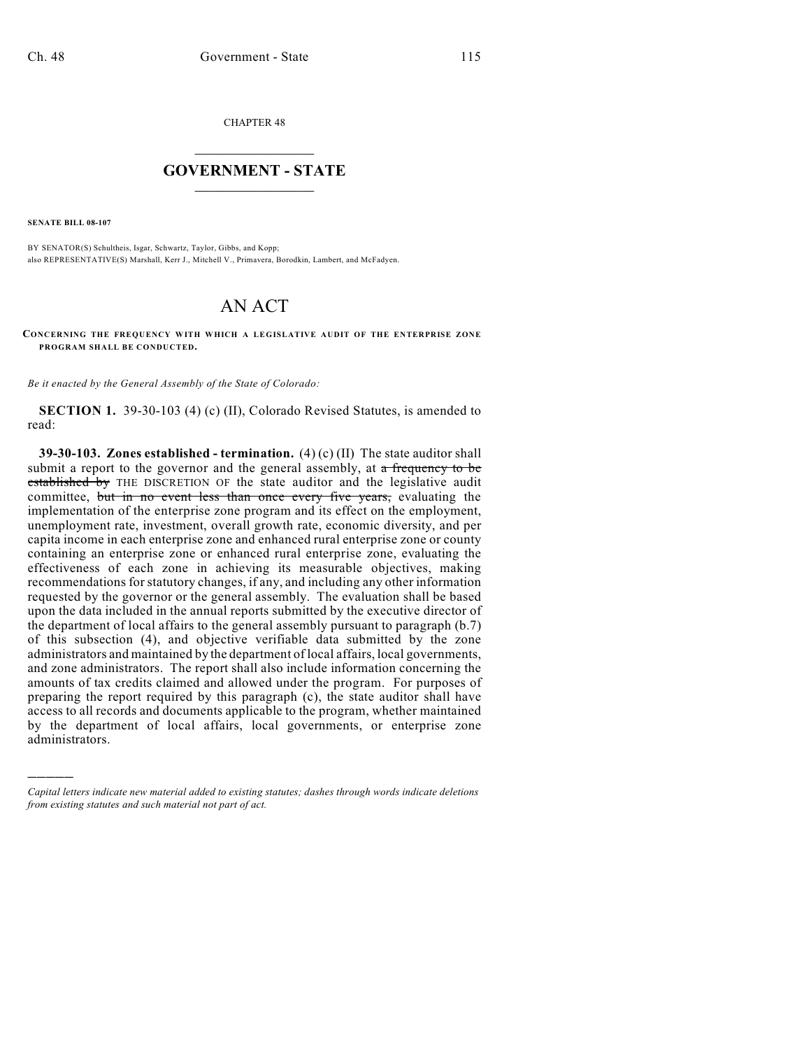CHAPTER 48

## $\mathcal{L}_\text{max}$  . The set of the set of the set of the set of the set of the set of the set of the set of the set of the set of the set of the set of the set of the set of the set of the set of the set of the set of the set **GOVERNMENT - STATE**  $\_$   $\_$

**SENATE BILL 08-107**

)))))

BY SENATOR(S) Schultheis, Isgar, Schwartz, Taylor, Gibbs, and Kopp; also REPRESENTATIVE(S) Marshall, Kerr J., Mitchell V., Primavera, Borodkin, Lambert, and McFadyen.

## AN ACT

**CONCERNING THE FREQUENCY WITH WHICH A LEGISLATIVE AUDIT OF THE ENTERPRISE ZONE PROGRAM SHALL BE CONDUCTED.**

*Be it enacted by the General Assembly of the State of Colorado:*

**SECTION 1.** 39-30-103 (4) (c) (II), Colorado Revised Statutes, is amended to read:

**39-30-103. Zones established - termination.** (4) (c) (II) The state auditor shall submit a report to the governor and the general assembly, at  $\alpha$  frequency to be established by THE DISCRETION OF the state auditor and the legislative audit committee, but in no event less than once every five years, evaluating the implementation of the enterprise zone program and its effect on the employment, unemployment rate, investment, overall growth rate, economic diversity, and per capita income in each enterprise zone and enhanced rural enterprise zone or county containing an enterprise zone or enhanced rural enterprise zone, evaluating the effectiveness of each zone in achieving its measurable objectives, making recommendations for statutory changes, if any, and including any other information requested by the governor or the general assembly. The evaluation shall be based upon the data included in the annual reports submitted by the executive director of the department of local affairs to the general assembly pursuant to paragraph (b.7) of this subsection (4), and objective verifiable data submitted by the zone administrators and maintained by the department of local affairs, local governments, and zone administrators. The report shall also include information concerning the amounts of tax credits claimed and allowed under the program. For purposes of preparing the report required by this paragraph (c), the state auditor shall have access to all records and documents applicable to the program, whether maintained by the department of local affairs, local governments, or enterprise zone administrators.

*Capital letters indicate new material added to existing statutes; dashes through words indicate deletions from existing statutes and such material not part of act.*